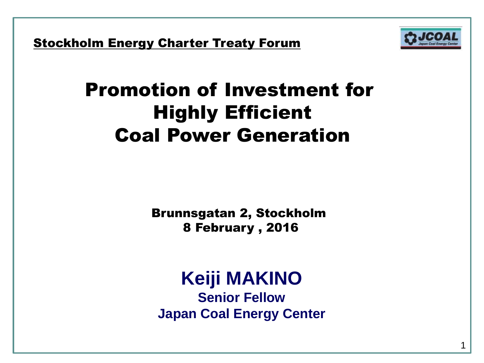**Stockholm Energy Charter Treaty Forum** 



1

# Promotion of Investment for Highly Efficient Coal Power Generation

Brunnsgatan 2, Stockholm 8 February , 2016

#### **Keiji MAKINO Senior Fellow Japan Coal Energy Center**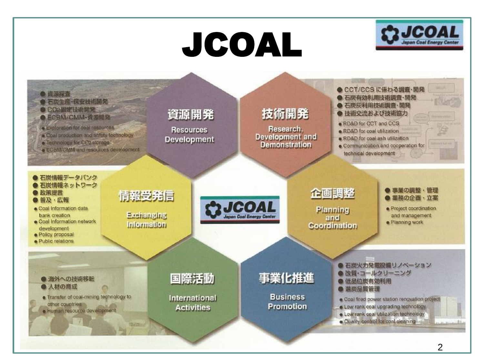# JCOAL



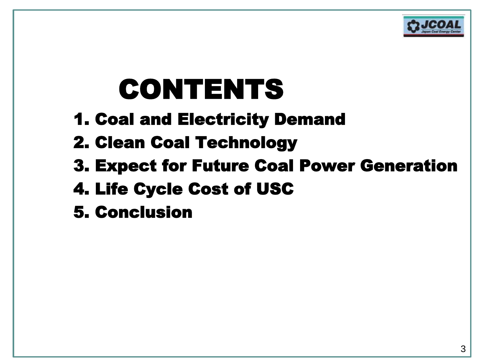

# CONTENTS

- 1. Coal and Electricity Demand
- 2. Clean Coal Technology
- 3. Expect for Future Coal Power Generation
- 4. Life Cycle Cost of USC
- 5. Conclusion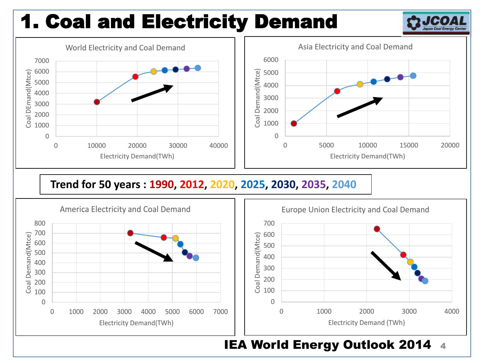# 1. Coal and Electricity Demand

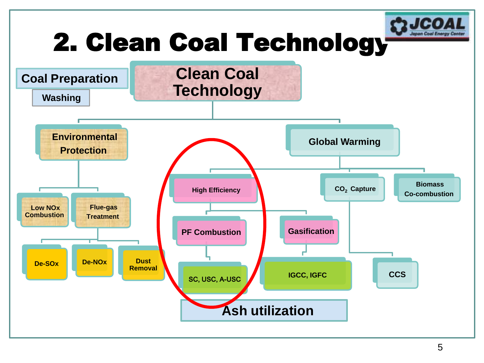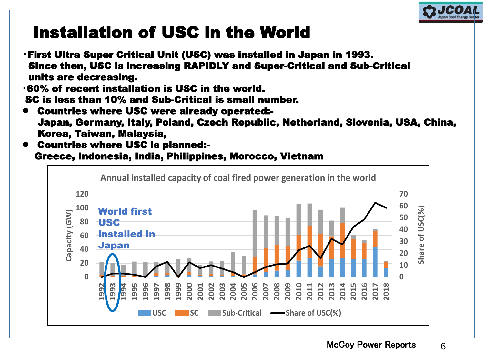

# Installation of USC in the World

- ・First Ultra Super Critical Unit (USC) was installed in Japan in 1993. Since then, USC is increasing RAPIDLY and Super-Critical and Sub-Critical units are decreasing.
- ・60% of recent installation is USC in the world. SC is less than 10% and Sub-Critical is small number.
- Countries where USC were already operated:- Japan, Germany, Italy, Poland, Czech Republic, Netherland, Slovenia, USA, China, Korea, Taiwan, Malaysia,
- Countries where USC is planned:- Greece, Indonesia, India, Philippines, Morocco, Vietnam

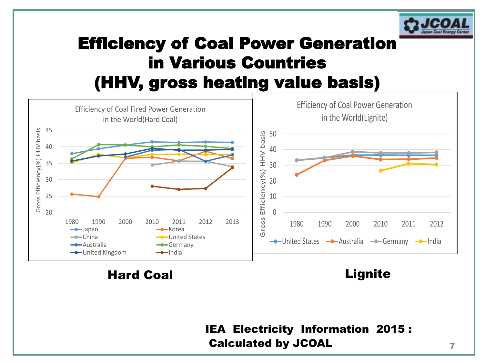

## Efficiency of Coal Power Generation in Various Countries (HHV, gross heating value basis)



Hard Coal **Lignite** 

#### IEA Electricity Information 2015 : Calculated by JCOAL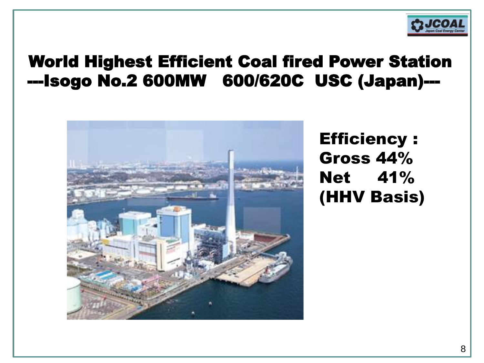

#### World Highest Efficient Coal fired Power Station ---Isogo No.2 600MW 600/620C USC (Japan)---



Efficiency : Gross 44% Net 41% (HHV Basis)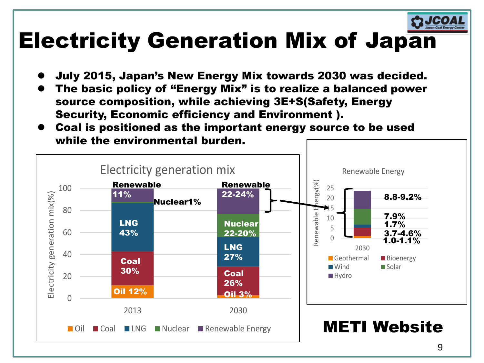

# Electricity Generation Mix of Japan

- July 2015, Japan's New Energy Mix towards 2030 was decided.
- The basic policy of "Energy Mix" is to realize a balanced power source composition, while achieving 3E+S(Safety, Energy Security, Economic efficiency and Environment ).
- Coal is positioned as the important energy source to be used while the environmental burden.

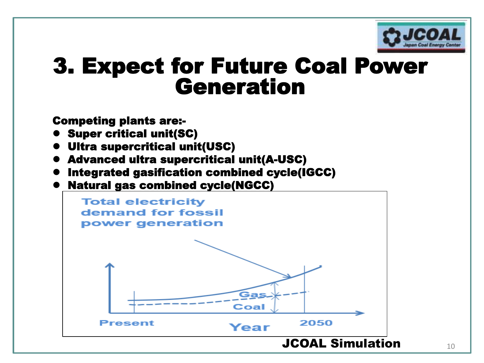

# 3. Expect for Future Coal Power Generation

Competing plants are:-

- **Super critical unit(SC)**
- Ultra supercritical unit(USC)
- Advanced ultra supercritical unit(A-USC)
- Integrated gasification combined cycle(IGCC)
- Natural gas combined cycle(NGCC)

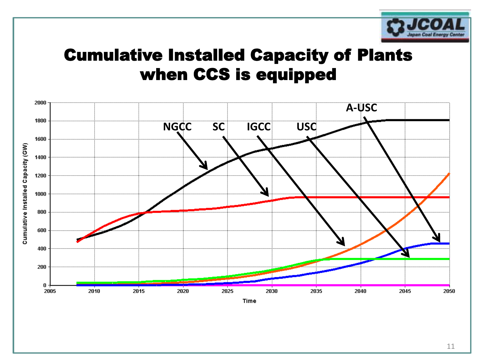

### Cumulative Installed Capacity of Plants when CCS is equipped



11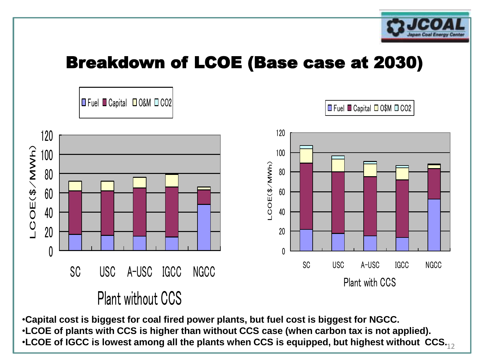

### Breakdown of LCOE (Base case at 2030)



 $\boldsymbol{\cdot}$ LCOE of IGCC is lowest among all the plants when CCS is equipped, but highest without  $\,\mathsf{CCS}_{\text{-}12}$ •**Capital cost is biggest for coal fired power plants, but fuel cost is biggest for NGCC.** •**LCOE of plants with CCS is higher than without CCS case (when carbon tax is not applied).**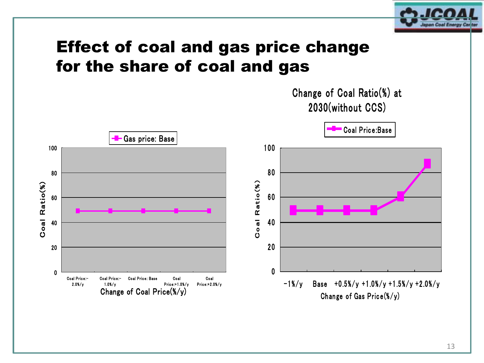

#### Effect of coal and gas price change for the share of coal and gas

Change of Coal Ratio(%) at 2030(without CCS)

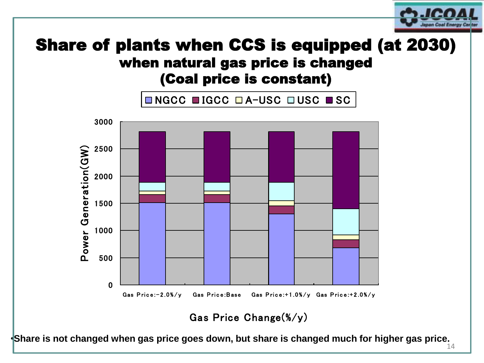

## **natural gas price is chang<br>(Coal price is constant)<br>NGCC ■IGCC □A-USC □USC ■SC** Share of plants when CCS is equipped (at 2030) when natural gas price is changed (Coal price is constant)



•**Share is not changed when gas price goes down, but share is changed much for higher gas price.** 

14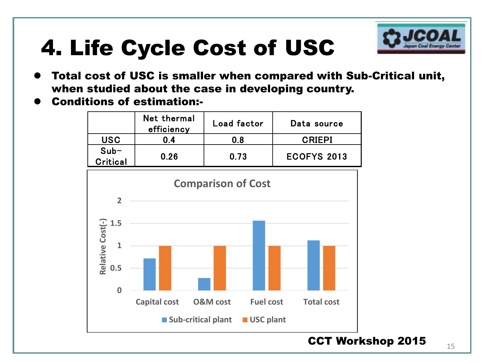# 4. Life Cycle Cost of USC



- Total cost of USC is smaller when compared with Sub-Critical unit, when studied about the case in developing country.
- Conditions of estimation:-